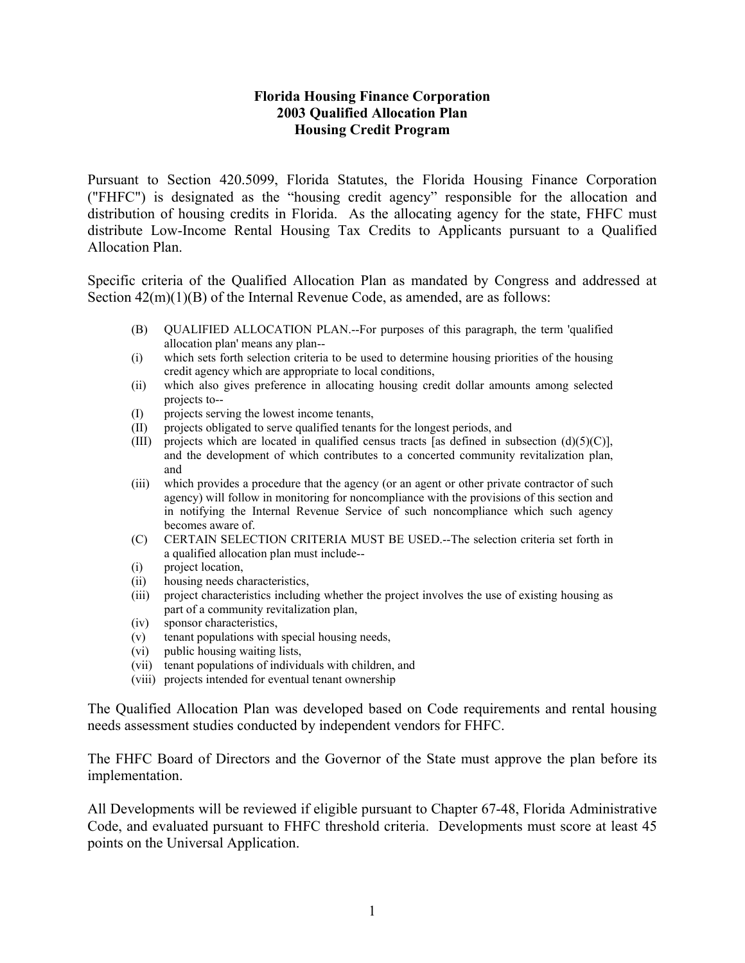### **Florida Housing Finance Corporation 2003 Qualified Allocation Plan Housing Credit Program**

Pursuant to Section 420.5099, Florida Statutes, the Florida Housing Finance Corporation ("FHFC") is designated as the "housing credit agency" responsible for the allocation and distribution of housing credits in Florida. As the allocating agency for the state, FHFC must distribute Low-Income Rental Housing Tax Credits to Applicants pursuant to a Qualified Allocation Plan.

Specific criteria of the Qualified Allocation Plan as mandated by Congress and addressed at Section  $42(m)(1)(B)$  of the Internal Revenue Code, as amended, are as follows:

- (B) QUALIFIED ALLOCATION PLAN.--For purposes of this paragraph, the term 'qualified allocation plan' means any plan--
- (i) which sets forth selection criteria to be used to determine housing priorities of the housing credit agency which are appropriate to local conditions,
- (ii) which also gives preference in allocating housing credit dollar amounts among selected projects to--
- (I) projects serving the lowest income tenants,
- (II) projects obligated to serve qualified tenants for the longest periods, and
- (III) projects which are located in qualified census tracts [as defined in subsection  $(d)(5)(C)$ ], and the development of which contributes to a concerted community revitalization plan, and
- (iii) which provides a procedure that the agency (or an agent or other private contractor of such agency) will follow in monitoring for noncompliance with the provisions of this section and in notifying the Internal Revenue Service of such noncompliance which such agency becomes aware of.
- (C) CERTAIN SELECTION CRITERIA MUST BE USED.--The selection criteria set forth in a qualified allocation plan must include--
- (i) project location,
- (ii) housing needs characteristics,
- (iii) project characteristics including whether the project involves the use of existing housing as part of a community revitalization plan,
- (iv) sponsor characteristics,
- (v) tenant populations with special housing needs,
- (vi) public housing waiting lists,
- (vii) tenant populations of individuals with children, and
- (viii) projects intended for eventual tenant ownership

The Qualified Allocation Plan was developed based on Code requirements and rental housing needs assessment studies conducted by independent vendors for FHFC.

The FHFC Board of Directors and the Governor of the State must approve the plan before its implementation.

All Developments will be reviewed if eligible pursuant to Chapter 67-48, Florida Administrative Code, and evaluated pursuant to FHFC threshold criteria. Developments must score at least 45 points on the Universal Application.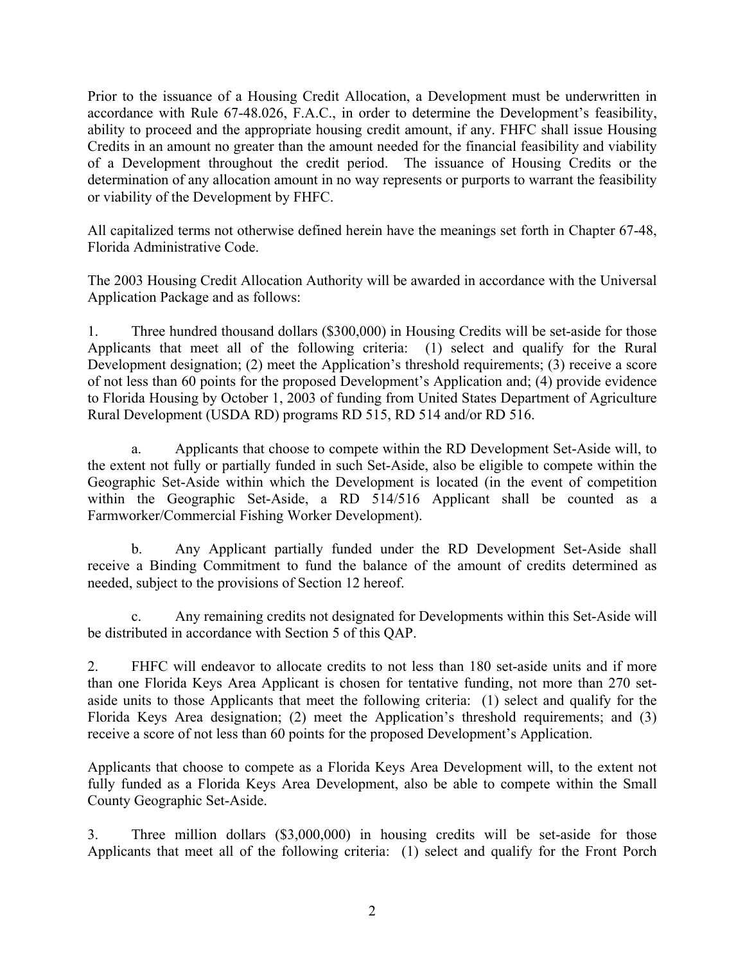Prior to the issuance of a Housing Credit Allocation, a Development must be underwritten in accordance with Rule 67-48.026, F.A.C., in order to determine the Development's feasibility, ability to proceed and the appropriate housing credit amount, if any. FHFC shall issue Housing Credits in an amount no greater than the amount needed for the financial feasibility and viability of a Development throughout the credit period. The issuance of Housing Credits or the determination of any allocation amount in no way represents or purports to warrant the feasibility or viability of the Development by FHFC.

All capitalized terms not otherwise defined herein have the meanings set forth in Chapter 67-48, Florida Administrative Code.

The 2003 Housing Credit Allocation Authority will be awarded in accordance with the Universal Application Package and as follows:

1. Three hundred thousand dollars (\$300,000) in Housing Credits will be set-aside for those Applicants that meet all of the following criteria: (1) select and qualify for the Rural Development designation; (2) meet the Application's threshold requirements; (3) receive a score of not less than 60 points for the proposed Development's Application and; (4) provide evidence to Florida Housing by October 1, 2003 of funding from United States Department of Agriculture Rural Development (USDA RD) programs RD 515, RD 514 and/or RD 516.

a. Applicants that choose to compete within the RD Development Set-Aside will, to the extent not fully or partially funded in such Set-Aside, also be eligible to compete within the Geographic Set-Aside within which the Development is located (in the event of competition within the Geographic Set-Aside, a RD 514/516 Applicant shall be counted as a Farmworker/Commercial Fishing Worker Development).

b. Any Applicant partially funded under the RD Development Set-Aside shall receive a Binding Commitment to fund the balance of the amount of credits determined as needed, subject to the provisions of Section 12 hereof.

c. Any remaining credits not designated for Developments within this Set-Aside will be distributed in accordance with Section 5 of this QAP.

2. FHFC will endeavor to allocate credits to not less than 180 set-aside units and if more than one Florida Keys Area Applicant is chosen for tentative funding, not more than 270 setaside units to those Applicants that meet the following criteria: (1) select and qualify for the Florida Keys Area designation; (2) meet the Application's threshold requirements; and (3) receive a score of not less than 60 points for the proposed Development's Application.

Applicants that choose to compete as a Florida Keys Area Development will, to the extent not fully funded as a Florida Keys Area Development, also be able to compete within the Small County Geographic Set-Aside.

3. Three million dollars (\$3,000,000) in housing credits will be set-aside for those Applicants that meet all of the following criteria: (1) select and qualify for the Front Porch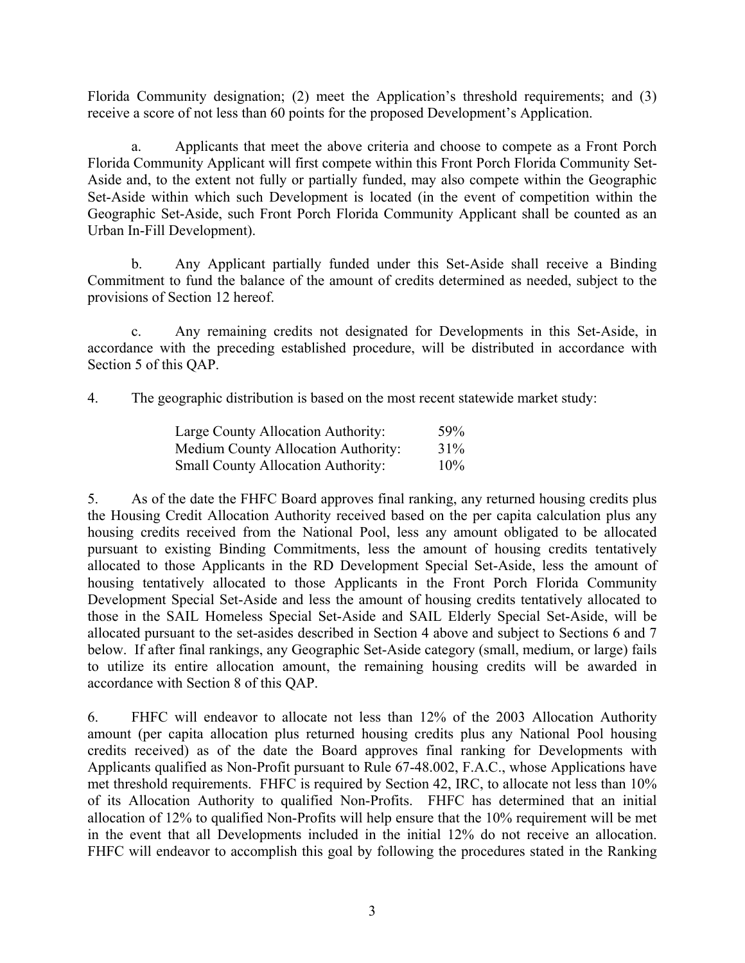Florida Community designation; (2) meet the Application's threshold requirements; and (3) receive a score of not less than 60 points for the proposed Development's Application.

a. Applicants that meet the above criteria and choose to compete as a Front Porch Florida Community Applicant will first compete within this Front Porch Florida Community Set-Aside and, to the extent not fully or partially funded, may also compete within the Geographic Set-Aside within which such Development is located (in the event of competition within the Geographic Set-Aside, such Front Porch Florida Community Applicant shall be counted as an Urban In-Fill Development).

b. Any Applicant partially funded under this Set-Aside shall receive a Binding Commitment to fund the balance of the amount of credits determined as needed, subject to the provisions of Section 12 hereof.

c. Any remaining credits not designated for Developments in this Set-Aside, in accordance with the preceding established procedure, will be distributed in accordance with Section 5 of this QAP.

4. The geographic distribution is based on the most recent statewide market study:

| Large County Allocation Authority:         | 59% |
|--------------------------------------------|-----|
| <b>Medium County Allocation Authority:</b> | 31% |
| <b>Small County Allocation Authority:</b>  | 10% |

5. As of the date the FHFC Board approves final ranking, any returned housing credits plus the Housing Credit Allocation Authority received based on the per capita calculation plus any housing credits received from the National Pool, less any amount obligated to be allocated pursuant to existing Binding Commitments, less the amount of housing credits tentatively allocated to those Applicants in the RD Development Special Set-Aside, less the amount of housing tentatively allocated to those Applicants in the Front Porch Florida Community Development Special Set-Aside and less the amount of housing credits tentatively allocated to those in the SAIL Homeless Special Set-Aside and SAIL Elderly Special Set-Aside, will be allocated pursuant to the set-asides described in Section 4 above and subject to Sections 6 and 7 below. If after final rankings, any Geographic Set-Aside category (small, medium, or large) fails to utilize its entire allocation amount, the remaining housing credits will be awarded in accordance with Section 8 of this QAP.

6. FHFC will endeavor to allocate not less than 12% of the 2003 Allocation Authority amount (per capita allocation plus returned housing credits plus any National Pool housing credits received) as of the date the Board approves final ranking for Developments with Applicants qualified as Non-Profit pursuant to Rule 67-48.002, F.A.C., whose Applications have met threshold requirements. FHFC is required by Section 42, IRC, to allocate not less than 10% of its Allocation Authority to qualified Non-Profits. FHFC has determined that an initial allocation of 12% to qualified Non-Profits will help ensure that the 10% requirement will be met in the event that all Developments included in the initial 12% do not receive an allocation. FHFC will endeavor to accomplish this goal by following the procedures stated in the Ranking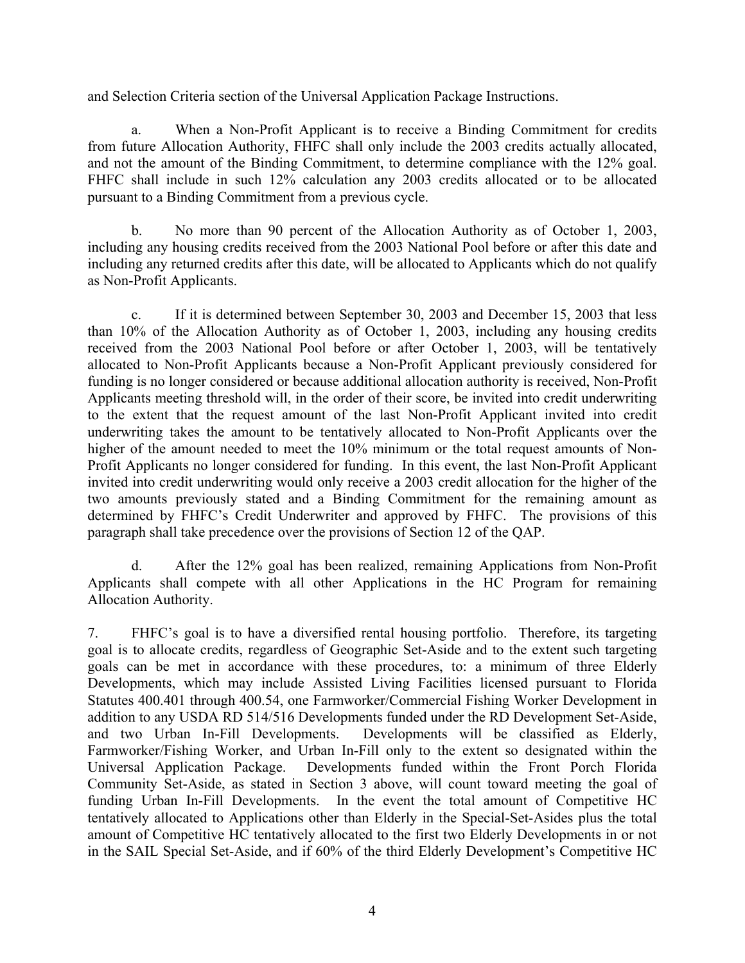and Selection Criteria section of the Universal Application Package Instructions.

a. When a Non-Profit Applicant is to receive a Binding Commitment for credits from future Allocation Authority, FHFC shall only include the 2003 credits actually allocated, and not the amount of the Binding Commitment, to determine compliance with the 12% goal. FHFC shall include in such 12% calculation any 2003 credits allocated or to be allocated pursuant to a Binding Commitment from a previous cycle.

b. No more than 90 percent of the Allocation Authority as of October 1, 2003, including any housing credits received from the 2003 National Pool before or after this date and including any returned credits after this date, will be allocated to Applicants which do not qualify as Non-Profit Applicants.

c. If it is determined between September 30, 2003 and December 15, 2003 that less than 10% of the Allocation Authority as of October 1, 2003, including any housing credits received from the 2003 National Pool before or after October 1, 2003, will be tentatively allocated to Non-Profit Applicants because a Non-Profit Applicant previously considered for funding is no longer considered or because additional allocation authority is received, Non-Profit Applicants meeting threshold will, in the order of their score, be invited into credit underwriting to the extent that the request amount of the last Non-Profit Applicant invited into credit underwriting takes the amount to be tentatively allocated to Non-Profit Applicants over the higher of the amount needed to meet the 10% minimum or the total request amounts of Non-Profit Applicants no longer considered for funding. In this event, the last Non-Profit Applicant invited into credit underwriting would only receive a 2003 credit allocation for the higher of the two amounts previously stated and a Binding Commitment for the remaining amount as determined by FHFC's Credit Underwriter and approved by FHFC. The provisions of this paragraph shall take precedence over the provisions of Section 12 of the QAP.

d. After the 12% goal has been realized, remaining Applications from Non-Profit Applicants shall compete with all other Applications in the HC Program for remaining Allocation Authority.

7. FHFC's goal is to have a diversified rental housing portfolio. Therefore, its targeting goal is to allocate credits, regardless of Geographic Set-Aside and to the extent such targeting goals can be met in accordance with these procedures, to: a minimum of three Elderly Developments, which may include Assisted Living Facilities licensed pursuant to Florida Statutes 400.401 through 400.54, one Farmworker/Commercial Fishing Worker Development in addition to any USDA RD 514/516 Developments funded under the RD Development Set-Aside, and two Urban In-Fill Developments. Developments will be classified as Elderly, Farmworker/Fishing Worker, and Urban In-Fill only to the extent so designated within the Universal Application Package. Developments funded within the Front Porch Florida Community Set-Aside, as stated in Section 3 above, will count toward meeting the goal of funding Urban In-Fill Developments. In the event the total amount of Competitive HC tentatively allocated to Applications other than Elderly in the Special-Set-Asides plus the total amount of Competitive HC tentatively allocated to the first two Elderly Developments in or not in the SAIL Special Set-Aside, and if 60% of the third Elderly Development's Competitive HC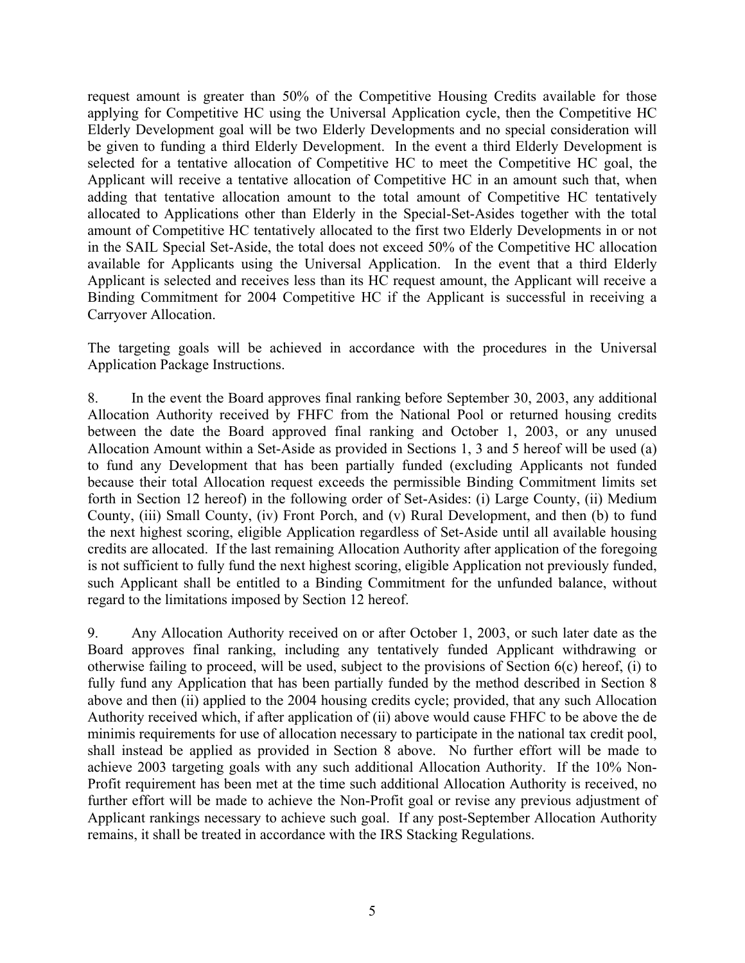request amount is greater than 50% of the Competitive Housing Credits available for those applying for Competitive HC using the Universal Application cycle, then the Competitive HC Elderly Development goal will be two Elderly Developments and no special consideration will be given to funding a third Elderly Development. In the event a third Elderly Development is selected for a tentative allocation of Competitive HC to meet the Competitive HC goal, the Applicant will receive a tentative allocation of Competitive HC in an amount such that, when adding that tentative allocation amount to the total amount of Competitive HC tentatively allocated to Applications other than Elderly in the Special-Set-Asides together with the total amount of Competitive HC tentatively allocated to the first two Elderly Developments in or not in the SAIL Special Set-Aside, the total does not exceed 50% of the Competitive HC allocation available for Applicants using the Universal Application. In the event that a third Elderly Applicant is selected and receives less than its HC request amount, the Applicant will receive a Binding Commitment for 2004 Competitive HC if the Applicant is successful in receiving a Carryover Allocation.

The targeting goals will be achieved in accordance with the procedures in the Universal Application Package Instructions.

8. In the event the Board approves final ranking before September 30, 2003, any additional Allocation Authority received by FHFC from the National Pool or returned housing credits between the date the Board approved final ranking and October 1, 2003, or any unused Allocation Amount within a Set-Aside as provided in Sections 1, 3 and 5 hereof will be used (a) to fund any Development that has been partially funded (excluding Applicants not funded because their total Allocation request exceeds the permissible Binding Commitment limits set forth in Section 12 hereof) in the following order of Set-Asides: (i) Large County, (ii) Medium County, (iii) Small County, (iv) Front Porch, and (v) Rural Development, and then (b) to fund the next highest scoring, eligible Application regardless of Set-Aside until all available housing credits are allocated. If the last remaining Allocation Authority after application of the foregoing is not sufficient to fully fund the next highest scoring, eligible Application not previously funded, such Applicant shall be entitled to a Binding Commitment for the unfunded balance, without regard to the limitations imposed by Section 12 hereof.

9. Any Allocation Authority received on or after October 1, 2003, or such later date as the Board approves final ranking, including any tentatively funded Applicant withdrawing or otherwise failing to proceed, will be used, subject to the provisions of Section 6(c) hereof, (i) to fully fund any Application that has been partially funded by the method described in Section 8 above and then (ii) applied to the 2004 housing credits cycle; provided, that any such Allocation Authority received which, if after application of (ii) above would cause FHFC to be above the de minimis requirements for use of allocation necessary to participate in the national tax credit pool, shall instead be applied as provided in Section 8 above. No further effort will be made to achieve 2003 targeting goals with any such additional Allocation Authority. If the 10% Non-Profit requirement has been met at the time such additional Allocation Authority is received, no further effort will be made to achieve the Non-Profit goal or revise any previous adjustment of Applicant rankings necessary to achieve such goal. If any post-September Allocation Authority remains, it shall be treated in accordance with the IRS Stacking Regulations.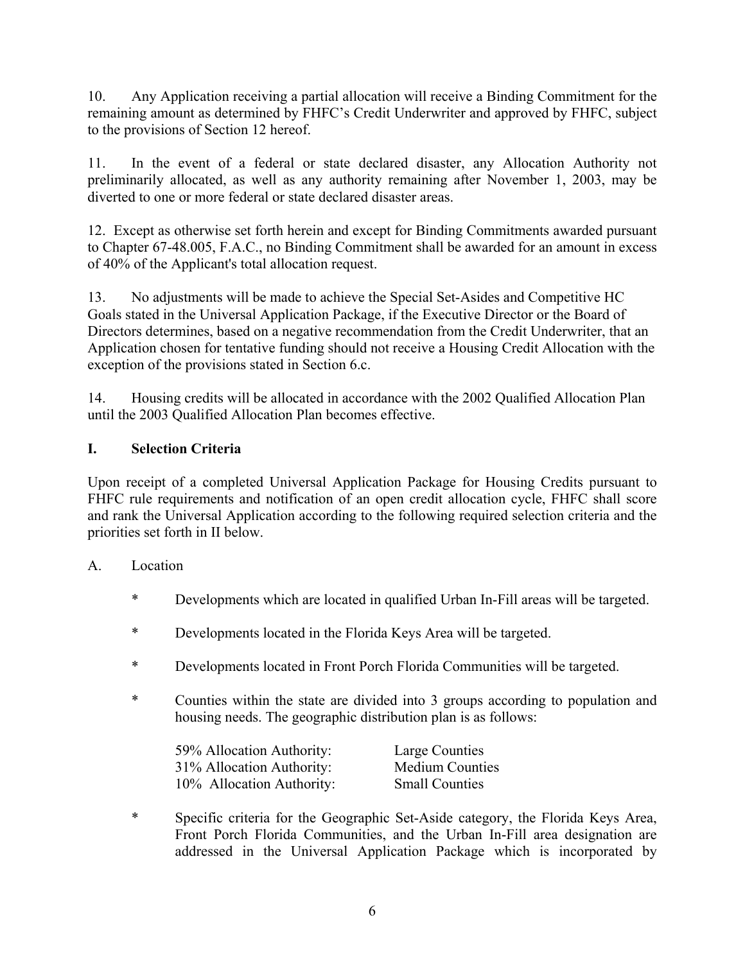10. Any Application receiving a partial allocation will receive a Binding Commitment for the remaining amount as determined by FHFC's Credit Underwriter and approved by FHFC, subject to the provisions of Section 12 hereof.

11. In the event of a federal or state declared disaster, any Allocation Authority not preliminarily allocated, as well as any authority remaining after November 1, 2003, may be diverted to one or more federal or state declared disaster areas.

12. Except as otherwise set forth herein and except for Binding Commitments awarded pursuant to Chapter 67-48.005, F.A.C., no Binding Commitment shall be awarded for an amount in excess of 40% of the Applicant's total allocation request.

13. No adjustments will be made to achieve the Special Set-Asides and Competitive HC Goals stated in the Universal Application Package, if the Executive Director or the Board of Directors determines, based on a negative recommendation from the Credit Underwriter, that an Application chosen for tentative funding should not receive a Housing Credit Allocation with the exception of the provisions stated in Section 6.c.

14. Housing credits will be allocated in accordance with the 2002 Qualified Allocation Plan until the 2003 Qualified Allocation Plan becomes effective.

# **I. Selection Criteria**

Upon receipt of a completed Universal Application Package for Housing Credits pursuant to FHFC rule requirements and notification of an open credit allocation cycle, FHFC shall score and rank the Universal Application according to the following required selection criteria and the priorities set forth in II below.

## A. Location

- \* Developments which are located in qualified Urban In-Fill areas will be targeted.
- \* Developments located in the Florida Keys Area will be targeted.
- \* Developments located in Front Porch Florida Communities will be targeted.
- \* Counties within the state are divided into 3 groups according to population and housing needs. The geographic distribution plan is as follows:

| 59% Allocation Authority: | Large Counties         |
|---------------------------|------------------------|
| 31% Allocation Authority: | <b>Medium Counties</b> |
| 10% Allocation Authority: | <b>Small Counties</b>  |

\* Specific criteria for the Geographic Set-Aside category, the Florida Keys Area, Front Porch Florida Communities, and the Urban In-Fill area designation are addressed in the Universal Application Package which is incorporated by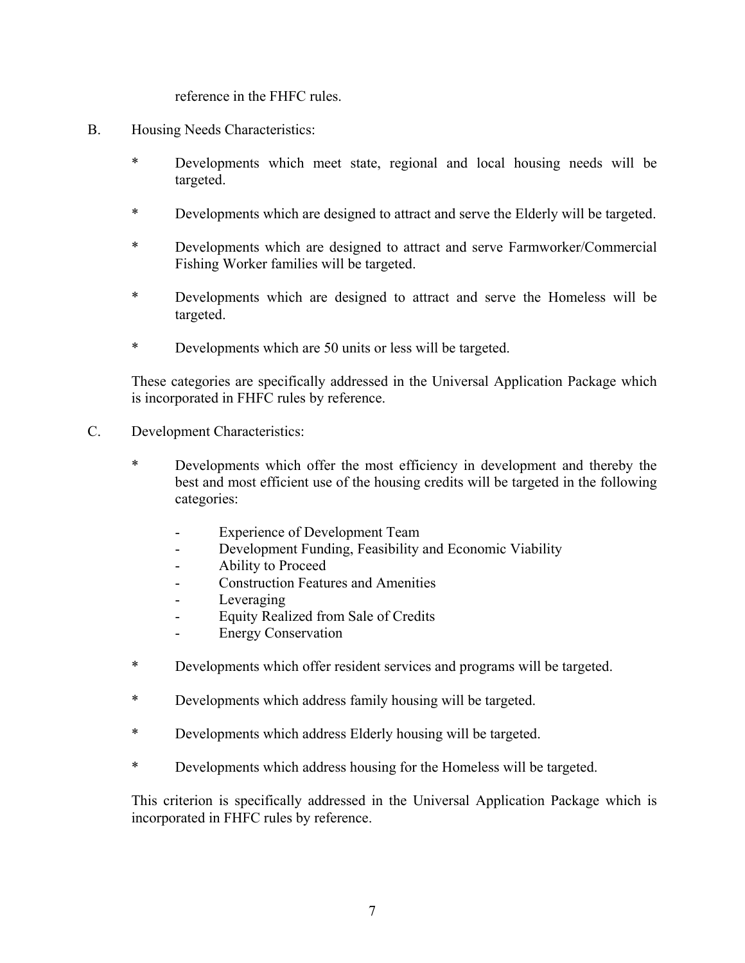reference in the FHFC rules.

- B. Housing Needs Characteristics:
	- \* Developments which meet state, regional and local housing needs will be targeted.
	- \* Developments which are designed to attract and serve the Elderly will be targeted.
	- \* Developments which are designed to attract and serve Farmworker/Commercial Fishing Worker families will be targeted.
	- \* Developments which are designed to attract and serve the Homeless will be targeted.
	- \* Developments which are 50 units or less will be targeted.

These categories are specifically addressed in the Universal Application Package which is incorporated in FHFC rules by reference.

- C. Development Characteristics:
	- \* Developments which offer the most efficiency in development and thereby the best and most efficient use of the housing credits will be targeted in the following categories:
		- Experience of Development Team
		- Development Funding, Feasibility and Economic Viability
		- Ability to Proceed
		- Construction Features and Amenities
		- Leveraging
		- Equity Realized from Sale of Credits
		- Energy Conservation
	- \* Developments which offer resident services and programs will be targeted.
	- \* Developments which address family housing will be targeted.
	- \* Developments which address Elderly housing will be targeted.
	- \* Developments which address housing for the Homeless will be targeted.

This criterion is specifically addressed in the Universal Application Package which is incorporated in FHFC rules by reference.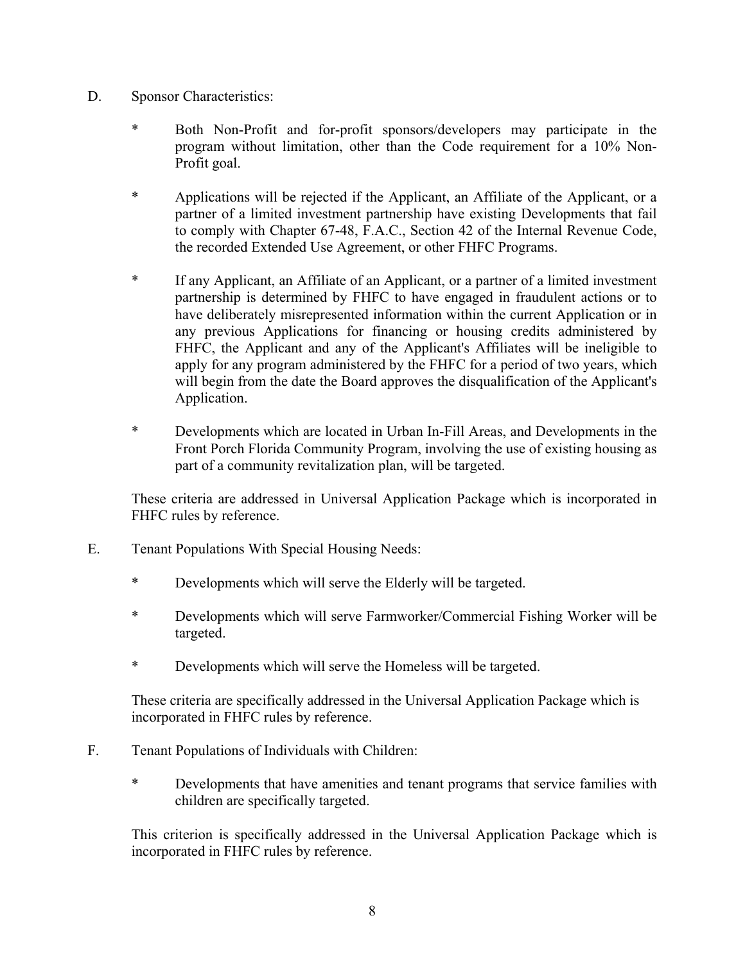- D. Sponsor Characteristics:
	- \* Both Non-Profit and for-profit sponsors/developers may participate in the program without limitation, other than the Code requirement for a 10% Non-Profit goal.
	- \* Applications will be rejected if the Applicant, an Affiliate of the Applicant, or a partner of a limited investment partnership have existing Developments that fail to comply with Chapter 67-48, F.A.C., Section 42 of the Internal Revenue Code, the recorded Extended Use Agreement, or other FHFC Programs.
	- \* If any Applicant, an Affiliate of an Applicant, or a partner of a limited investment partnership is determined by FHFC to have engaged in fraudulent actions or to have deliberately misrepresented information within the current Application or in any previous Applications for financing or housing credits administered by FHFC, the Applicant and any of the Applicant's Affiliates will be ineligible to apply for any program administered by the FHFC for a period of two years, which will begin from the date the Board approves the disqualification of the Applicant's Application.
	- \* Developments which are located in Urban In-Fill Areas, and Developments in the Front Porch Florida Community Program, involving the use of existing housing as part of a community revitalization plan, will be targeted.

These criteria are addressed in Universal Application Package which is incorporated in FHFC rules by reference.

- E. Tenant Populations With Special Housing Needs:
	- \* Developments which will serve the Elderly will be targeted.
	- \* Developments which will serve Farmworker/Commercial Fishing Worker will be targeted.
	- \* Developments which will serve the Homeless will be targeted.

 These criteria are specifically addressed in the Universal Application Package which is incorporated in FHFC rules by reference.

- F. Tenant Populations of Individuals with Children:
	- \* Developments that have amenities and tenant programs that service families with children are specifically targeted.

This criterion is specifically addressed in the Universal Application Package which is incorporated in FHFC rules by reference.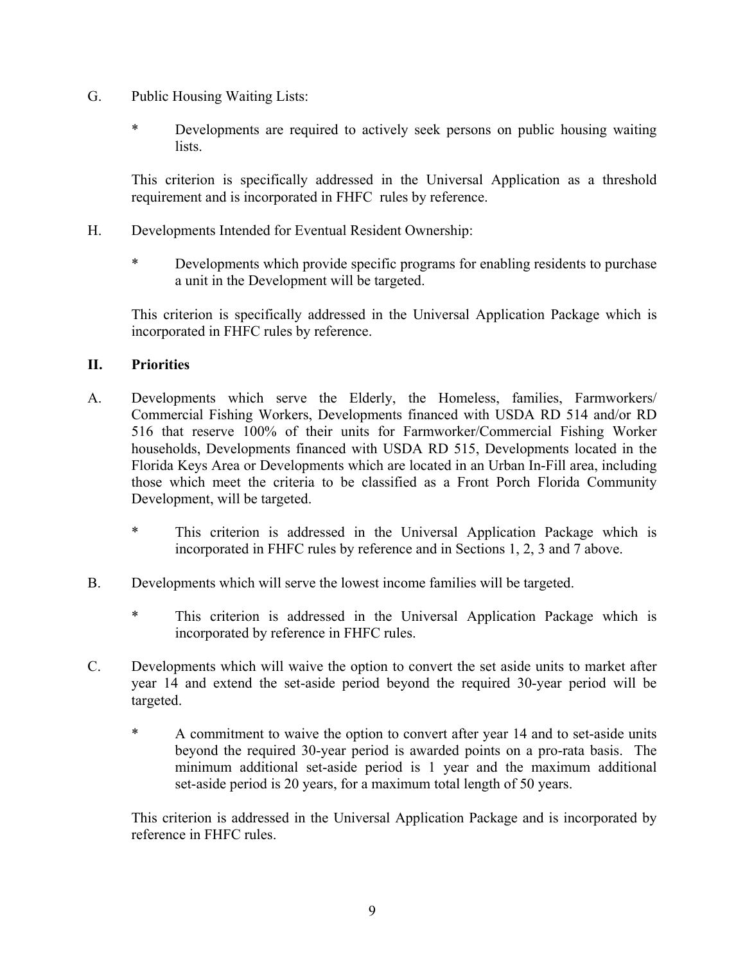- G. Public Housing Waiting Lists:
	- \* Developments are required to actively seek persons on public housing waiting lists.

This criterion is specifically addressed in the Universal Application as a threshold requirement and is incorporated in FHFC rules by reference.

- H. Developments Intended for Eventual Resident Ownership:
	- \* Developments which provide specific programs for enabling residents to purchase a unit in the Development will be targeted.

This criterion is specifically addressed in the Universal Application Package which is incorporated in FHFC rules by reference.

### **II. Priorities**

- A. Developments which serve the Elderly, the Homeless, families, Farmworkers/ Commercial Fishing Workers, Developments financed with USDA RD 514 and/or RD 516 that reserve 100% of their units for Farmworker/Commercial Fishing Worker households, Developments financed with USDA RD 515, Developments located in the Florida Keys Area or Developments which are located in an Urban In-Fill area, including those which meet the criteria to be classified as a Front Porch Florida Community Development, will be targeted.
	- \* This criterion is addressed in the Universal Application Package which is incorporated in FHFC rules by reference and in Sections 1, 2, 3 and 7 above.
- B. Developments which will serve the lowest income families will be targeted.
	- \* This criterion is addressed in the Universal Application Package which is incorporated by reference in FHFC rules.
- C. Developments which will waive the option to convert the set aside units to market after year 14 and extend the set-aside period beyond the required 30-year period will be targeted.
	- \* A commitment to waive the option to convert after year 14 and to set-aside units beyond the required 30-year period is awarded points on a pro-rata basis. The minimum additional set-aside period is 1 year and the maximum additional set-aside period is 20 years, for a maximum total length of 50 years.

This criterion is addressed in the Universal Application Package and is incorporated by reference in FHFC rules.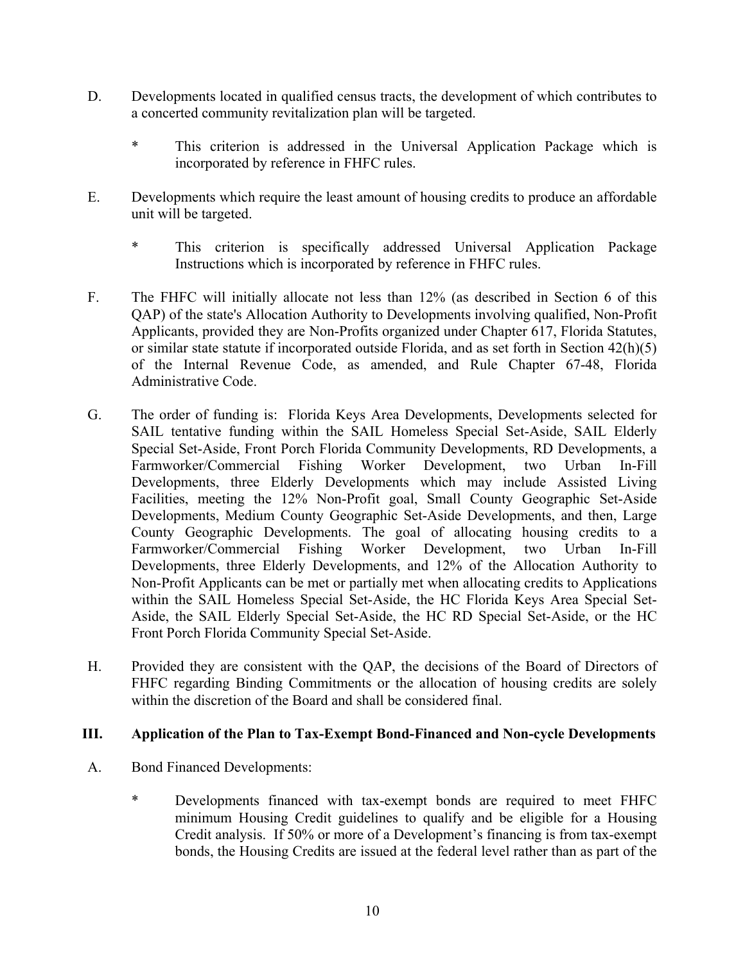- D. Developments located in qualified census tracts, the development of which contributes to a concerted community revitalization plan will be targeted.
	- \* This criterion is addressed in the Universal Application Package which is incorporated by reference in FHFC rules.
- E. Developments which require the least amount of housing credits to produce an affordable unit will be targeted.
	- \* This criterion is specifically addressed Universal Application Package Instructions which is incorporated by reference in FHFC rules.
- F. The FHFC will initially allocate not less than 12% (as described in Section 6 of this QAP) of the state's Allocation Authority to Developments involving qualified, Non-Profit Applicants, provided they are Non-Profits organized under Chapter 617, Florida Statutes, or similar state statute if incorporated outside Florida, and as set forth in Section 42(h)(5) of the Internal Revenue Code, as amended, and Rule Chapter 67-48, Florida Administrative Code.
- G. The order of funding is: Florida Keys Area Developments, Developments selected for SAIL tentative funding within the SAIL Homeless Special Set-Aside, SAIL Elderly Special Set-Aside, Front Porch Florida Community Developments, RD Developments, a Farmworker/Commercial Fishing Worker Development, two Urban In-Fill Developments, three Elderly Developments which may include Assisted Living Facilities, meeting the 12% Non-Profit goal, Small County Geographic Set-Aside Developments, Medium County Geographic Set-Aside Developments, and then, Large County Geographic Developments. The goal of allocating housing credits to a<br>Farmworker/Commercial Fishing Worker Development, two Urban In-Fill Fishing Worker Development, two Urban In-Fill Developments, three Elderly Developments, and 12% of the Allocation Authority to Non-Profit Applicants can be met or partially met when allocating credits to Applications within the SAIL Homeless Special Set-Aside, the HC Florida Keys Area Special Set-Aside, the SAIL Elderly Special Set-Aside, the HC RD Special Set-Aside, or the HC Front Porch Florida Community Special Set-Aside.
- H. Provided they are consistent with the QAP, the decisions of the Board of Directors of FHFC regarding Binding Commitments or the allocation of housing credits are solely within the discretion of the Board and shall be considered final.

#### **III. Application of the Plan to Tax-Exempt Bond-Financed and Non-cycle Developments**

- A. Bond Financed Developments:
	- \* Developments financed with tax-exempt bonds are required to meet FHFC minimum Housing Credit guidelines to qualify and be eligible for a Housing Credit analysis. If 50% or more of a Development's financing is from tax-exempt bonds, the Housing Credits are issued at the federal level rather than as part of the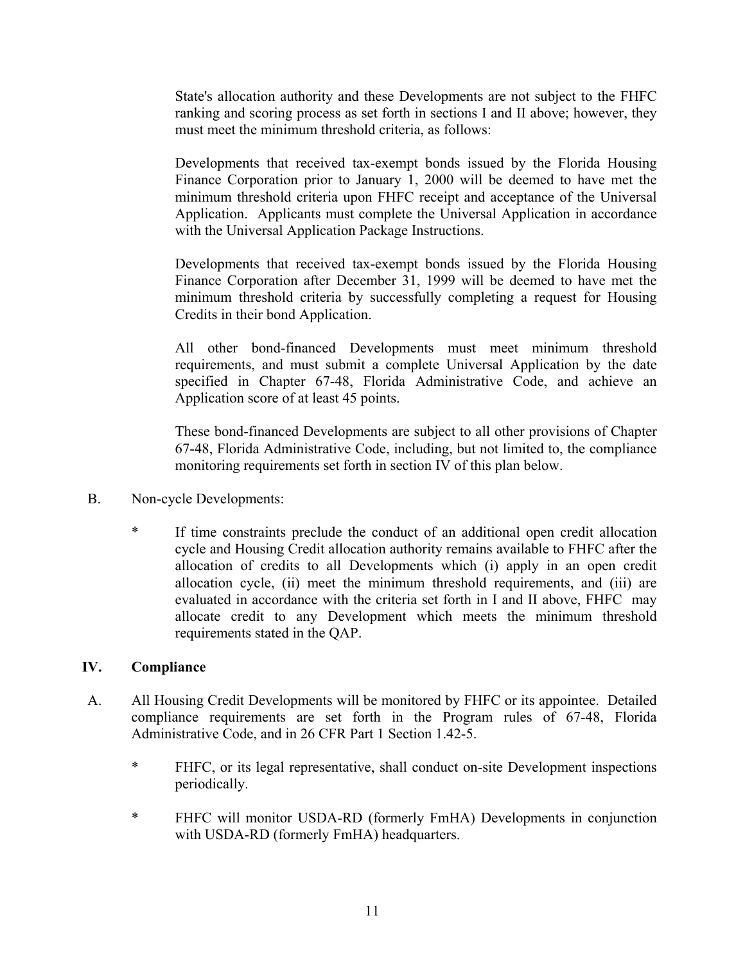State's allocation authority and these Developments are not subject to the FHFC ranking and scoring process as set forth in sections I and II above; however, they must meet the minimum threshold criteria, as follows:

Developments that received tax-exempt bonds issued by the Florida Housing Finance Corporation prior to January 1, 2000 will be deemed to have met the minimum threshold criteria upon FHFC receipt and acceptance of the Universal Application. Applicants must complete the Universal Application in accordance with the Universal Application Package Instructions.

Developments that received tax-exempt bonds issued by the Florida Housing Finance Corporation after December 31, 1999 will be deemed to have met the minimum threshold criteria by successfully completing a request for Housing Credits in their bond Application.

All other bond-financed Developments must meet minimum threshold requirements, and must submit a complete Universal Application by the date specified in Chapter 67-48, Florida Administrative Code, and achieve an Application score of at least 45 points.

These bond-financed Developments are subject to all other provisions of Chapter 67-48, Florida Administrative Code, including, but not limited to, the compliance monitoring requirements set forth in section IV of this plan below.

- B. Non-cycle Developments:
	- \* If time constraints preclude the conduct of an additional open credit allocation cycle and Housing Credit allocation authority remains available to FHFC after the allocation of credits to all Developments which (i) apply in an open credit allocation cycle, (ii) meet the minimum threshold requirements, and (iii) are evaluated in accordance with the criteria set forth in I and II above, FHFC may allocate credit to any Development which meets the minimum threshold requirements stated in the QAP.

## **IV. Compliance**

- A. All Housing Credit Developments will be monitored by FHFC or its appointee. Detailed compliance requirements are set forth in the Program rules of 67-48, Florida Administrative Code, and in 26 CFR Part 1 Section 1.42-5.
	- \* FHFC, or its legal representative, shall conduct on-site Development inspections periodically.
	- \* FHFC will monitor USDA-RD (formerly FmHA) Developments in conjunction with USDA-RD (formerly FmHA) headquarters.